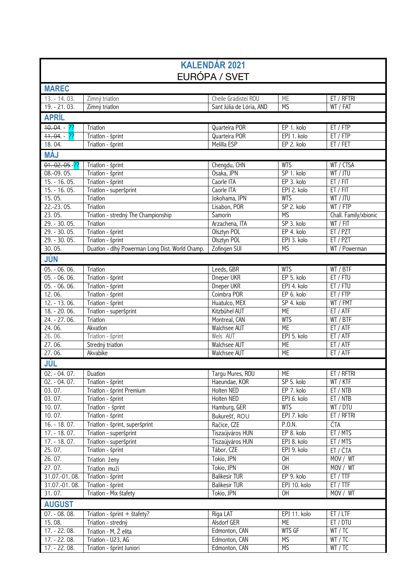| <b>KALENDÁR 2021</b><br>EURÓPA / SVET |                                                 |                                |                           |                       |  |  |
|---------------------------------------|-------------------------------------------------|--------------------------------|---------------------------|-----------------------|--|--|
| <b>MAREC</b>                          |                                                 |                                |                           |                       |  |  |
| 13. - 14. 03.                         | Zimný triatlon                                  | Cheile Gradistei ROU           | ME                        | ET / RFTRI            |  |  |
| $19. - 21.03.$                        | Zimný triatlon                                  | Sant Júlia de Lória, AND       | <b>MS</b>                 | WT / FAT              |  |  |
| <b>APRÍL</b>                          |                                                 |                                |                           |                       |  |  |
| $10.04. - 22$                         |                                                 |                                |                           |                       |  |  |
| $+1.04. - 22$                         | Triatlon<br>Triatlon - šprint                   | Quarteira POR<br>Quarteira POR | EP 1. kolo<br>EPJ 1. kolo | ET / FTP<br>ET / FTP  |  |  |
| 18.04.                                | Triatlon - šprint                               | Melilla ESP                    | EP 2. kolo                | ET / FET              |  |  |
|                                       |                                                 |                                |                           |                       |  |  |
| <b>MÁJ</b>                            |                                                 |                                |                           |                       |  |  |
| $01 - 02.05 - ??$                     | Triatlon - šprint                               | Chengdu, CHN                   | <b>WTS</b>                | WT / CTSA             |  |  |
| 08.-09.05.                            | Triatlon - šprint                               | Osaka, JPN                     | SP 1. kolo                | WT / JTU              |  |  |
| $15. - 16.05.$                        | Triatlon - šprint                               | Caorle ITA                     | EP 3. kolo                | ET / FIT              |  |  |
| $15. - 16.05.$                        | Triatlon - superšprint<br>Triatlon              | Caorle ITA<br>Jokohama, JPN    | EPJ 2. kolo<br><b>WTS</b> | ET / FIT<br>WT / JTU  |  |  |
| 15.05.<br>$22.-23.05.$                | Triatlon                                        | Lisabon, POR                   | SP 2. kolo                | WT / FTP              |  |  |
| 23.05.                                | Triatlon - stredný The Championship             | Šamorín                        | <b>MS</b>                 | Chall. Family/xbionic |  |  |
| $29. - 30.05.$                        | Triatlon                                        | Arzachena, ITA                 | SP 3. kolo                | WT / FIT              |  |  |
| $29. - 30.05.$                        | Triatlon - šprint                               | Olsztyn POL                    | EP 4. kolo                | ET / PZT              |  |  |
| $29. - 30.05.$                        | Triatlon - šprint                               | Olsztyn POL                    | EPJ 3. kolo               | ET / PZT              |  |  |
| 30.05.                                | Duatlon - dlhý Powerman Long Dist. World Champ. | Zofingen SUI                   | <b>MS</b>                 | WT / Powerman         |  |  |
| JÚN                                   |                                                 |                                |                           |                       |  |  |
| 05. - 06. 06.                         | Triatlon                                        | Leeds, GBR                     | <b>WTS</b>                | WT / BTF              |  |  |
| $05. - 06.06.$                        | Triatlon - šprint                               | Dneper UKR                     | EP 5. kolo                | ET / FTU              |  |  |
| 05. - 06. 06.                         | Triatlon - šprint                               | Dneper UKR                     | EPJ 4. kolo               | ET / FTU              |  |  |
| 12.06.                                | Triatlon - šprint                               | Coimbra POR                    | EP 6. kolo                | ET / FTP              |  |  |
| $12. - 13.06.$                        | Triatlon - šprint                               | Huatulco, MEX                  | SP 4. kolo                | WT / FMT              |  |  |
| 18. - 20. 06.                         | Triatlon - superšprint                          | Kitzbühel AUT                  | <b>ME</b>                 | ET / ATF              |  |  |
| $24. - 27.06.$                        | Triatlon                                        | Montreal, CAN                  | <b>WTS</b>                | WT / BTF              |  |  |
| 24.06.                                | Akvatlon                                        | Walchsee AUT                   | <b>ME</b>                 | ET / ATF              |  |  |
| 26.06.                                | Triatlon - šprint                               | Wels AUT                       | EPJ 5. kolo               | ET / ATF              |  |  |
| 27.06.                                | Stredný triatlon                                | <b>Walchsee AUT</b>            | <b>ME</b>                 | ET / ATF              |  |  |
| 27.06.                                | Akvabike                                        | <b>Walchsee AUT</b>            | <b>ME</b>                 | ET / ATF              |  |  |
| JÚL                                   |                                                 |                                |                           |                       |  |  |
| 02. - 04. 07.                         | Duatlon                                         | Targu Mures, ROU               | МE                        | ET / RFTRI            |  |  |
| $02. - 04.07.$                        | Triatlon - šprint                               | Haeundae, KOR                  | SP 5. kolo                | WT / KTF              |  |  |
| 03.07.                                | Triatlon - šprint Premium                       | Holten NED                     | EP 7. kolo                | ET / NTB              |  |  |
| 03.07.                                | Triatlon - šprint                               | Holten NED                     | EPJ 6. kolo               | ET / NTB              |  |  |
| 10.07.                                | Triatlon - šprint                               | Hamburg, GER                   | <b>WTS</b>                | WT / DTU              |  |  |
| 10.07.                                | Triatlon - šprint                               | Bukurešť, ROU                  | EPJ 7. kolo               | ET / RFTRI            |  |  |
| $16. - 18.07.$                        | Triatlon - šprint, superšprint                  | Račice, CZE                    | P.O.N.                    | ČTA                   |  |  |
| $17. - 18.07.$                        | Triatlon - superšprint                          | Tiszaújváros HUN               | EP 8. kolo                | ET / MTS              |  |  |
| $17. - 18.07.$                        | Triatlon - superšprint                          | Tiszaújváros HUN               | EPJ 8. kolo               | ET / MTS              |  |  |
| 25.07.                                | Triatlon - šprint                               | Tábor, CZE                     | EPJ 9. kolo               | ET / ČTA              |  |  |
| 26.07.                                | Triatlon ženy                                   | Tokio, JPN                     | OH                        | MOV / WT              |  |  |
| 27.07.                                | Triatlon muži                                   | Tokio, JPN                     | $\overline{O}$ H          | MOV / WT              |  |  |
| 31.07.-01.08.                         | Triatlon - šprint                               | <b>Balikesir TUR</b>           | EP 9. kolo                | ET / TTF              |  |  |
| 31.07.-01.08.                         | Triatlon - šprint                               | <b>Balikesir TUR</b>           | EPJ 10. kolo              | ET / TTF              |  |  |
| 31.07.                                | Triatlon - Mix štafety                          | Tokio, JPN                     | OH                        | MOV / WT              |  |  |
| <b>AUGUST</b>                         |                                                 |                                |                           |                       |  |  |
| 07. - 08. 08.                         | Triatlon - šprint + štafety?                    | Riga LAT                       | EPJ 11. kolo              | ET / LTF              |  |  |
| 15.08.                                | Triatlon - stredný                              | Alsdorf GER                    | <b>ME</b>                 | ET / DTU              |  |  |
| 17. - 22. 08.                         | Triatlon - M, Ž elita                           | Edmonton, CAN                  | <b>WTS GF</b>             | WT / TC               |  |  |
| $17. - 22.08.$                        | Triatlon - U23, AG                              | Edmonton, CAN                  | <b>MS</b>                 | WT / TC               |  |  |
| $17. - 22.08.$                        | Triatlon - šprint Juniori                       | Edmonton, CAN                  | <b>MS</b>                 | WT / TC               |  |  |